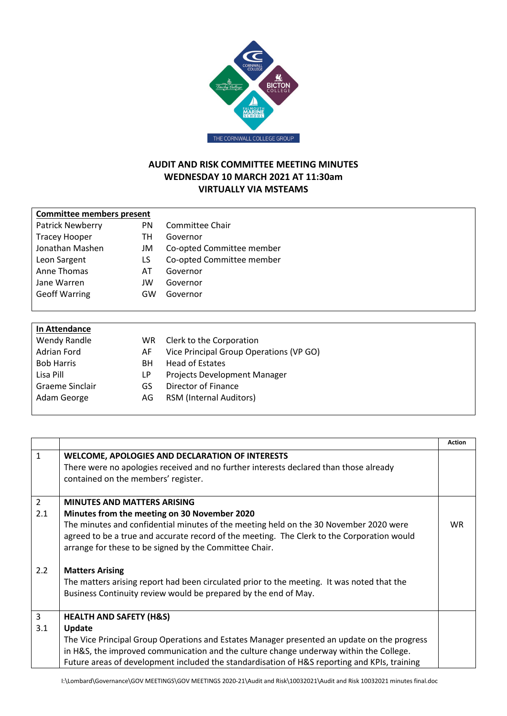

## **AUDIT AND RISK COMMITTEE MEETING MINUTES WEDNESDAY 10 MARCH 2021 AT 11:30am VIRTUALLY VIA MSTEAMS**

| <b>Committee members present</b> |     |                           |
|----------------------------------|-----|---------------------------|
| Patrick Newberry                 | PN. | Committee Chair           |
| <b>Tracey Hooper</b>             | TН  | Governor                  |
| Jonathan Mashen                  | JM  | Co-opted Committee member |
| Leon Sargent                     | LS  | Co-opted Committee member |
| Anne Thomas                      | AT  | Governor                  |
| Jane Warren                      | JW  | Governor                  |
| <b>Geoff Warring</b>             | GW  | Governor                  |
|                                  |     |                           |

| In Attendance     |     |                                         |
|-------------------|-----|-----------------------------------------|
| Wendy Randle      | WR. | Clerk to the Corporation                |
| Adrian Ford       | AF  | Vice Principal Group Operations (VP GO) |
| <b>Bob Harris</b> | BН  | <b>Head of Estates</b>                  |
| Lisa Pill         | LP  | Projects Development Manager            |
| Graeme Sinclair   | GS  | Director of Finance                     |
| Adam George       | AG  | <b>RSM (Internal Auditors)</b>          |
|                   |     |                                         |

|                |                                                                                                                                                               | <b>Action</b> |
|----------------|---------------------------------------------------------------------------------------------------------------------------------------------------------------|---------------|
| $\mathbf{1}$   | WELCOME, APOLOGIES AND DECLARATION OF INTERESTS                                                                                                               |               |
|                | There were no apologies received and no further interests declared than those already                                                                         |               |
|                | contained on the members' register.                                                                                                                           |               |
| $\overline{2}$ | <b>MINUTES AND MATTERS ARISING</b>                                                                                                                            |               |
| 2.1            | Minutes from the meeting on 30 November 2020                                                                                                                  |               |
|                | The minutes and confidential minutes of the meeting held on the 30 November 2020 were                                                                         | WR.           |
|                | agreed to be a true and accurate record of the meeting. The Clerk to the Corporation would                                                                    |               |
|                | arrange for these to be signed by the Committee Chair.                                                                                                        |               |
| 2.2            |                                                                                                                                                               |               |
|                | <b>Matters Arising</b>                                                                                                                                        |               |
|                | The matters arising report had been circulated prior to the meeting. It was noted that the<br>Business Continuity review would be prepared by the end of May. |               |
|                |                                                                                                                                                               |               |
| 3              | <b>HEALTH AND SAFETY (H&amp;S)</b>                                                                                                                            |               |
| 3.1            | Update                                                                                                                                                        |               |
|                | The Vice Principal Group Operations and Estates Manager presented an update on the progress                                                                   |               |
|                | in H&S, the improved communication and the culture change underway within the College.                                                                        |               |
|                | Future areas of development included the standardisation of H&S reporting and KPIs, training                                                                  |               |
|                |                                                                                                                                                               |               |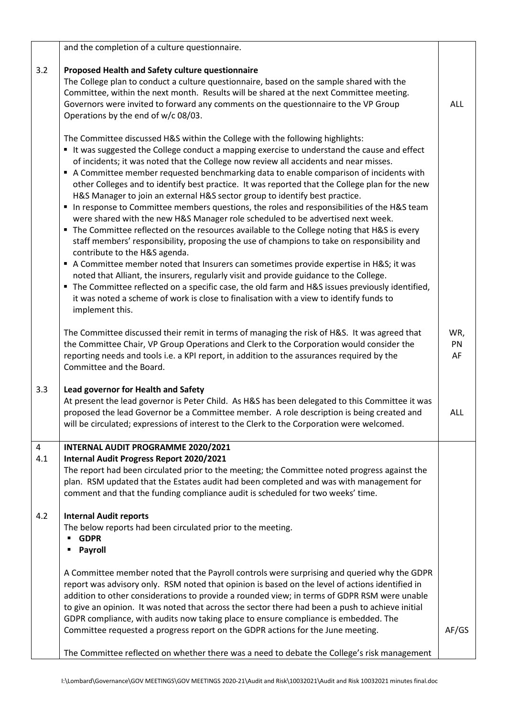|                | and the completion of a culture questionnaire.                                                                                                                                                                                                                                                                                                                                                                                                                                                                                                                                                                                                                                                                                                                                                                                                                                                                                                                                                                                                                                                                                                                                                                                                                                                                                                                         |                 |
|----------------|------------------------------------------------------------------------------------------------------------------------------------------------------------------------------------------------------------------------------------------------------------------------------------------------------------------------------------------------------------------------------------------------------------------------------------------------------------------------------------------------------------------------------------------------------------------------------------------------------------------------------------------------------------------------------------------------------------------------------------------------------------------------------------------------------------------------------------------------------------------------------------------------------------------------------------------------------------------------------------------------------------------------------------------------------------------------------------------------------------------------------------------------------------------------------------------------------------------------------------------------------------------------------------------------------------------------------------------------------------------------|-----------------|
| 3.2            | Proposed Health and Safety culture questionnaire<br>The College plan to conduct a culture questionnaire, based on the sample shared with the<br>Committee, within the next month. Results will be shared at the next Committee meeting.<br>Governors were invited to forward any comments on the questionnaire to the VP Group<br>Operations by the end of w/c 08/03.                                                                                                                                                                                                                                                                                                                                                                                                                                                                                                                                                                                                                                                                                                                                                                                                                                                                                                                                                                                                  | <b>ALL</b>      |
|                | The Committee discussed H&S within the College with the following highlights:<br>" It was suggested the College conduct a mapping exercise to understand the cause and effect<br>of incidents; it was noted that the College now review all accidents and near misses.<br>A Committee member requested benchmarking data to enable comparison of incidents with<br>other Colleges and to identify best practice. It was reported that the College plan for the new<br>H&S Manager to join an external H&S sector group to identify best practice.<br>In response to Committee members questions, the roles and responsibilities of the H&S team<br>were shared with the new H&S Manager role scheduled to be advertised next week.<br>• The Committee reflected on the resources available to the College noting that H&S is every<br>staff members' responsibility, proposing the use of champions to take on responsibility and<br>contribute to the H&S agenda.<br>A Committee member noted that Insurers can sometimes provide expertise in H&S it was<br>noted that Alliant, the insurers, regularly visit and provide guidance to the College.<br>" The Committee reflected on a specific case, the old farm and H&S issues previously identified,<br>it was noted a scheme of work is close to finalisation with a view to identify funds to<br>implement this. |                 |
|                | The Committee discussed their remit in terms of managing the risk of H&S. It was agreed that<br>the Committee Chair, VP Group Operations and Clerk to the Corporation would consider the<br>reporting needs and tools i.e. a KPI report, in addition to the assurances required by the<br>Committee and the Board.                                                                                                                                                                                                                                                                                                                                                                                                                                                                                                                                                                                                                                                                                                                                                                                                                                                                                                                                                                                                                                                     | WR,<br>PN<br>AF |
| 3.3            | Lead governor for Health and Safety<br>At present the lead governor is Peter Child. As H&S has been delegated to this Committee it was<br>proposed the lead Governor be a Committee member. A role description is being created and<br>will be circulated; expressions of interest to the Clerk to the Corporation were welcomed.                                                                                                                                                                                                                                                                                                                                                                                                                                                                                                                                                                                                                                                                                                                                                                                                                                                                                                                                                                                                                                      | <b>ALL</b>      |
| $\overline{4}$ | INTERNAL AUDIT PROGRAMME 2020/2021                                                                                                                                                                                                                                                                                                                                                                                                                                                                                                                                                                                                                                                                                                                                                                                                                                                                                                                                                                                                                                                                                                                                                                                                                                                                                                                                     |                 |
| 4.1            | Internal Audit Progress Report 2020/2021<br>The report had been circulated prior to the meeting; the Committee noted progress against the<br>plan. RSM updated that the Estates audit had been completed and was with management for<br>comment and that the funding compliance audit is scheduled for two weeks' time.                                                                                                                                                                                                                                                                                                                                                                                                                                                                                                                                                                                                                                                                                                                                                                                                                                                                                                                                                                                                                                                |                 |
| 4.2            | <b>Internal Audit reports</b><br>The below reports had been circulated prior to the meeting.<br><b>GDPR</b><br>٠<br>Payroll                                                                                                                                                                                                                                                                                                                                                                                                                                                                                                                                                                                                                                                                                                                                                                                                                                                                                                                                                                                                                                                                                                                                                                                                                                            |                 |
|                | A Committee member noted that the Payroll controls were surprising and queried why the GDPR<br>report was advisory only. RSM noted that opinion is based on the level of actions identified in<br>addition to other considerations to provide a rounded view; in terms of GDPR RSM were unable<br>to give an opinion. It was noted that across the sector there had been a push to achieve initial<br>GDPR compliance, with audits now taking place to ensure compliance is embedded. The                                                                                                                                                                                                                                                                                                                                                                                                                                                                                                                                                                                                                                                                                                                                                                                                                                                                              |                 |
|                | Committee requested a progress report on the GDPR actions for the June meeting.                                                                                                                                                                                                                                                                                                                                                                                                                                                                                                                                                                                                                                                                                                                                                                                                                                                                                                                                                                                                                                                                                                                                                                                                                                                                                        | AF/GS           |
|                | The Committee reflected on whether there was a need to debate the College's risk management                                                                                                                                                                                                                                                                                                                                                                                                                                                                                                                                                                                                                                                                                                                                                                                                                                                                                                                                                                                                                                                                                                                                                                                                                                                                            |                 |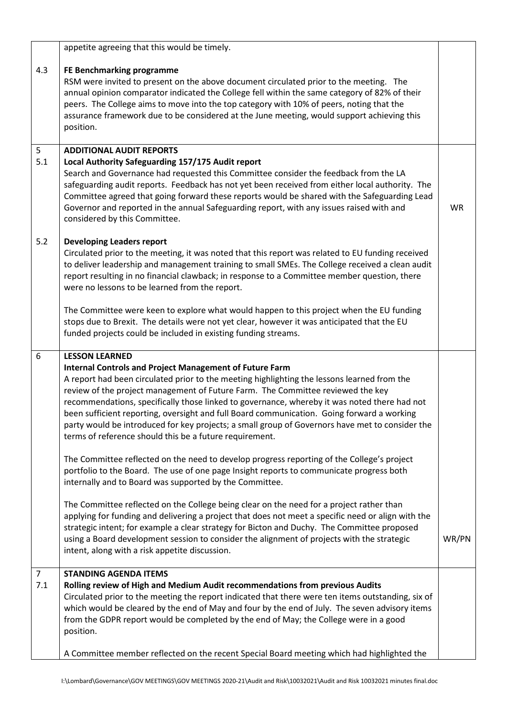|                       | appetite agreeing that this would be timely.                                                                                                                                                                                                                                                                                                                                                                                                                                                                                                                                                                                                                                                                                                                                                                                                                                                                                                                                                                                                                                                                                                                                                                                                                                                                                                |           |
|-----------------------|---------------------------------------------------------------------------------------------------------------------------------------------------------------------------------------------------------------------------------------------------------------------------------------------------------------------------------------------------------------------------------------------------------------------------------------------------------------------------------------------------------------------------------------------------------------------------------------------------------------------------------------------------------------------------------------------------------------------------------------------------------------------------------------------------------------------------------------------------------------------------------------------------------------------------------------------------------------------------------------------------------------------------------------------------------------------------------------------------------------------------------------------------------------------------------------------------------------------------------------------------------------------------------------------------------------------------------------------|-----------|
| 4.3                   | FE Benchmarking programme<br>RSM were invited to present on the above document circulated prior to the meeting. The<br>annual opinion comparator indicated the College fell within the same category of 82% of their<br>peers. The College aims to move into the top category with 10% of peers, noting that the<br>assurance framework due to be considered at the June meeting, would support achieving this<br>position.                                                                                                                                                                                                                                                                                                                                                                                                                                                                                                                                                                                                                                                                                                                                                                                                                                                                                                                 |           |
| 5<br>5.1              | <b>ADDITIONAL AUDIT REPORTS</b><br>Local Authority Safeguarding 157/175 Audit report<br>Search and Governance had requested this Committee consider the feedback from the LA<br>safeguarding audit reports. Feedback has not yet been received from either local authority. The<br>Committee agreed that going forward these reports would be shared with the Safeguarding Lead<br>Governor and reported in the annual Safeguarding report, with any issues raised with and<br>considered by this Committee.                                                                                                                                                                                                                                                                                                                                                                                                                                                                                                                                                                                                                                                                                                                                                                                                                                | <b>WR</b> |
| 5.2                   | <b>Developing Leaders report</b><br>Circulated prior to the meeting, it was noted that this report was related to EU funding received<br>to deliver leadership and management training to small SMEs. The College received a clean audit<br>report resulting in no financial clawback; in response to a Committee member question, there<br>were no lessons to be learned from the report.<br>The Committee were keen to explore what would happen to this project when the EU funding<br>stops due to Brexit. The details were not yet clear, however it was anticipated that the EU<br>funded projects could be included in existing funding streams.                                                                                                                                                                                                                                                                                                                                                                                                                                                                                                                                                                                                                                                                                     |           |
| 6                     | <b>LESSON LEARNED</b><br><b>Internal Controls and Project Management of Future Farm</b><br>A report had been circulated prior to the meeting highlighting the lessons learned from the<br>review of the project management of Future Farm. The Committee reviewed the key<br>recommendations, specifically those linked to governance, whereby it was noted there had not<br>been sufficient reporting, oversight and full Board communication. Going forward a working<br>party would be introduced for key projects; a small group of Governors have met to consider the<br>terms of reference should this be a future requirement.<br>The Committee reflected on the need to develop progress reporting of the College's project<br>portfolio to the Board. The use of one page Insight reports to communicate progress both<br>internally and to Board was supported by the Committee.<br>The Committee reflected on the College being clear on the need for a project rather than<br>applying for funding and delivering a project that does not meet a specific need or align with the<br>strategic intent; for example a clear strategy for Bicton and Duchy. The Committee proposed<br>using a Board development session to consider the alignment of projects with the strategic<br>intent, along with a risk appetite discussion. | WR/PN     |
| $\overline{7}$<br>7.1 | <b>STANDING AGENDA ITEMS</b><br>Rolling review of High and Medium Audit recommendations from previous Audits<br>Circulated prior to the meeting the report indicated that there were ten items outstanding, six of<br>which would be cleared by the end of May and four by the end of July. The seven advisory items<br>from the GDPR report would be completed by the end of May; the College were in a good<br>position.<br>A Committee member reflected on the recent Special Board meeting which had highlighted the                                                                                                                                                                                                                                                                                                                                                                                                                                                                                                                                                                                                                                                                                                                                                                                                                    |           |